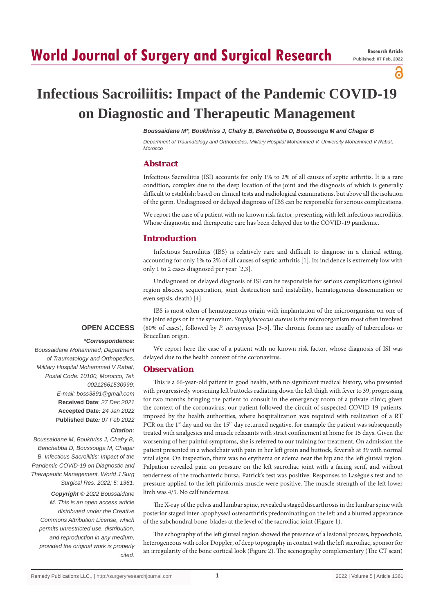## **World Journal of Surgery and Surgical Research**

പ്പ

# **Infectious Sacroiliitis: Impact of the Pandemic COVID-19 on Diagnostic and Therapeutic Management**

## *Boussaidane M\*, Boukhriss J, Chafry B, Benchebba D, Boussouga M and Chagar B*

*Department of Traumatology and Orthopedics, Military Hospital Mohammed V, University Mohammed V Rabat, Morocco*

## **Abstract**

Infectious Sacroiliitis (ISI) accounts for only 1% to 2% of all causes of septic arthritis. It is a rare condition, complex due to the deep location of the joint and the diagnosis of which is generally difficult to establish; based on clinical tests and radiological examinations, but above all the isolation of the germ. Undiagnosed or delayed diagnosis of IBS can be responsible for serious complications.

We report the case of a patient with no known risk factor, presenting with left infectious sacroiliitis. Whose diagnostic and therapeutic care has been delayed due to the COVID-19 pandemic.

## **Introduction**

Infectious Sacroiliitis (IBS) is relatively rare and difficult to diagnose in a clinical setting, accounting for only 1% to 2% of all causes of septic arthritis [1]. Its incidence is extremely low with only 1 to 2 cases diagnosed per year [2,3].

Undiagnosed or delayed diagnosis of ISI can be responsible for serious complications (gluteal region abscess, sequestration, joint destruction and instability, hematogenous dissemination or even sepsis, death) [4].

IBS is most often of hematogenous origin with implantation of the microorganism on one of the joint edges or in the synovium. *Staphylococcus aureus* is the microorganism most often involved (80% of cases), followed by *P. aeruginosa* [3-5]. The chronic forms are usually of tuberculous or Brucellian origin.

## We report here the case of a patient with no known risk factor, whose diagnosis of ISI was delayed due to the health context of the coronavirus.

## **Observation**

This is a 66-year-old patient in good health, with no significant medical history, who presented with progressively worsening left buttocks radiating down the left thigh with fever to 39, progressing for two months bringing the patient to consult in the emergency room of a private clinic; given the context of the coronavirus, our patient followed the circuit of suspected COVID-19 patients, imposed by the health authorities, where hospitalization was required with realization of a RT PCR on the 1<sup>st</sup> day and on the 15<sup>th</sup> day returned negative, for example the patient was subsequently treated with analgesics and muscle relaxants with strict confinement at home for 15 days. Given the worsening of her painful symptoms, she is referred to our training for treatment. On admission the patient presented in a wheelchair with pain in her left groin and buttock, feverish at 39 with normal vital signs. On inspection, there was no erythema or edema near the hip and the left gluteal region. Palpation revealed pain on pressure on the left sacroiliac joint with a facing serif, and without tenderness of the trochanteric bursa. Patrick's test was positive. Responses to Lasègue's test and to pressure applied to the left piriformis muscle were positive. The muscle strength of the left lower limb was 4/5. No calf tenderness.

The X-ray of the pelvis and lumbar spine, revealed a staged discarthrosis in the lumbar spine with posterior staged inter-apophyseal osteoarthritis predominating on the left and a blurred appearance of the subchondral bone, blades at the level of the sacroiliac joint (Figure 1).

The echography of the left gluteal region showed the presence of a lesional process, hypoechoic, heterogeneous with color Doppler, of deep topography in contact with the left sacroiliac, sponsor for an irregularity of the bone cortical look (Figure 2). The scenography complementary (The CT scan)

## **OPEN ACCESS**

#### *\*Correspondence:*

*Boussaidane Mohammed, Department of Traumatology and Orthopedics, Military Hospital Mohammed V Rabat, Postal Code: 10100, Morocco, Tel: 00212661530999; E-mail: boss3891@gmail.com* **Received Date**: *27 Dec 2021* **Accepted Date***: 24 Jan 2022* **Published Date***: 07 Feb 2022*

### *Citation:*

*Boussaidane M, Boukhriss J, Chafry B, Benchebba D, Boussouga M, Chagar B. Infectious Sacroiliitis: Impact of the Pandemic COVID-19 on Diagnostic and Therapeutic Management. World J Surg Surgical Res. 2022; 5: 1361. Copyright © 2022 Boussaidane M. This is an open access article distributed under the Creative Commons Attribution License, which permits unrestricted use, distribution, and reproduction in any medium, provided the original work is properly cited.*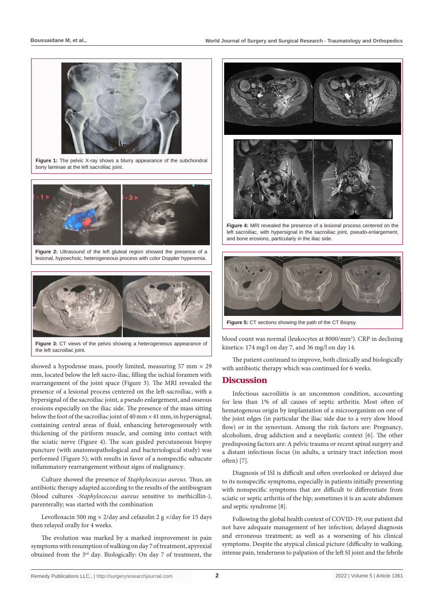

**Figure 1:** The pelvic X-ray shows a blurry appearance of the subchondral bony laminae at the left sacroiliac joint.



**Figure 2:** Ultrasound of the left gluteal region showed the presence of a lesional, hypoechoic, heterogeneous process with color Doppler hyperemia.



**Figure 3:** CT views of the pelvis showing a heterogeneous appearance of the left sacroiliac joint.

showed a hypodense mass, poorly limited, measuring 57 mm  $\times$  29 mm, located below the left sacro-iliac, filling the ischial foramen with rearrangement of the joint space (Figure 3). The MRI revealed the presence of a lesional process centered on the left-sacroiliac, with a hypersignal of the sacroiliac joint, a pseudo enlargement, and osseous erosions especially on the iliac side. The presence of the mass sitting below the foot of the sacroiliac joint of 40 mm  $\times$  41 mm, in hypersignal, containing central areas of fluid, enhancing heterogeneously with thickening of the piriform muscle, and coming into contact with the sciatic nerve (Figure 4). The scan guided percutaneous biopsy puncture (with anatomopathological and bacteriological study) was performed (Figure 5); with results in favor of a nonspecific subacute inflammatory rearrangement without signs of malignancy.

Culture showed the presence of *Staphylococcus aureus.* Thus, an antibiotic therapy adapted according to the results of the antibiogram (blood cultures -*Staphylococcus aureus* sensitive to methicillin-), parenterally; was started with the combination

Levofloxacin 500 mg  $\times$  2/day and cefazolin 2 g  $\times$ /day for 15 days then relayed orally for 4 weeks.

The evolution was marked by a marked improvement in pain symptoms with resumption of walking on day 7 of treatment, apyrexial obtained from the 3rd day. Biologically: On day 7 of treatment, the



**Figure 4:** MRI revealed the presence of a lesional process centered on the left sacroiliac, with hypersignal in the sacroiliac joint, pseudo-enlargement, and bone erosions, particularly in the iliac side.



**Figure 5:** CT sections showing the path of the CT Biopsy.

blood count was normal (leukocytes at 8000/mm<sup>3</sup>). CRP in declining kinetics: 174 mg/l on day 7, and 36 mg/l on day 14.

The patient continued to improve, both clinically and biologically with antibiotic therapy which was continued for 6 weeks.

## **Discussion**

Infectious sacroiliitis is an uncommon condition, accounting for less than 1% of all causes of septic arthritis. Most often of hematogenous origin by implantation of a microorganism on one of the joint edges (in particular the iliac side due to a very slow blood flow) or in the synovium. Among the risk factors are: Pregnancy, alcoholism, drug addiction and a neoplastic context [6]. The other predisposing factors are: A pelvic trauma or recent spinal surgery and a distant infectious focus (in adults, a urinary tract infection most often) [7].

Diagnosis of ISI is difficult and often overlooked or delayed due to its nonspecific symptoms, especially in patients initially presenting with nonspecific symptoms that are difficult to differentiate from sciatic or septic arthritis of the hip; sometimes it is an acute abdomen and septic syndrome [8].

Following the global health context of COVID-19; our patient did not have adequate management of her infection; delayed diagnosis and erroneous treatment; as well as a worsening of his clinical symptoms. Despite the atypical clinical picture (difficulty in walking, intense pain, tenderness to palpation of the left SI joint and the febrile